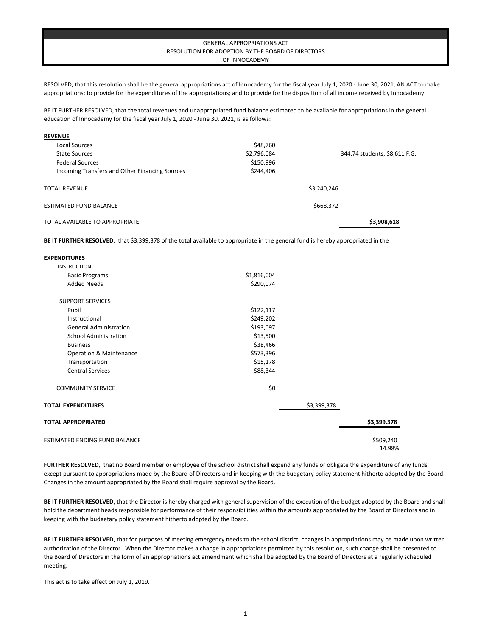## GENERAL APPROPRIATIONS ACT RESOLUTION FOR ADOPTION BY THE BOARD OF DIRECTORS OF INNOCADEMY

RESOLVED, that this resolution shall be the general appropriations act of Innocademy for the fiscal year July 1, 2020 - June 30, 2021; AN ACT to make appropriations; to provide for the expenditures of the appropriations; and to provide for the disposition of all income received by Innocademy.

BE IT FURTHER RESOLVED, that the total revenues and unappropriated fund balance estimated to be available for appropriations in the general education of Innocademy for the fiscal year July 1, 2020 - June 30, 2021, is as follows:

| <b>REVENUE</b>                                 |             |                               |
|------------------------------------------------|-------------|-------------------------------|
| Local Sources                                  | \$48,760    |                               |
| State Sources                                  | \$2,796,084 | 344.74 students, \$8,611 F.G. |
| <b>Federal Sources</b>                         | \$150,996   |                               |
| Incoming Transfers and Other Financing Sources | \$244,406   |                               |
| <b>TOTAL REVENUE</b>                           |             | \$3,240,246                   |
| <b>ESTIMATED FUND BALANCE</b>                  |             | \$668,372                     |
| TOTAL AVAILABLE TO APPROPRIATE                 |             | \$3,908,618                   |

**BE IT FURTHER RESOLVED**, that \$3,399,378 of the total available to appropriate in the general fund is hereby appropriated in the

| <b>EXPENDITURES</b>                  |             |             |             |
|--------------------------------------|-------------|-------------|-------------|
| <b>INSTRUCTION</b>                   |             |             |             |
| <b>Basic Programs</b>                | \$1,816,004 |             |             |
| <b>Added Needs</b>                   | \$290,074   |             |             |
| <b>SUPPORT SERVICES</b>              |             |             |             |
| Pupil                                | \$122,117   |             |             |
| Instructional                        | \$249,202   |             |             |
| <b>General Administration</b>        | \$193,097   |             |             |
| <b>School Administration</b>         | \$13,500    |             |             |
| <b>Business</b>                      | \$38,466    |             |             |
| Operation & Maintenance              | \$573,396   |             |             |
| Transportation                       | \$15,178    |             |             |
| <b>Central Services</b>              | \$88,344    |             |             |
| <b>COMMUNITY SERVICE</b>             | \$0         |             |             |
| <b>TOTAL EXPENDITURES</b>            |             | \$3,399,378 |             |
| <b>TOTAL APPROPRIATED</b>            |             |             | \$3,399,378 |
| <b>ESTIMATED ENDING FUND BALANCE</b> |             |             | \$509,240   |
|                                      |             |             | 14.98%      |

**FURTHER RESOLVED**, that no Board member or employee of the school district shall expend any funds or obligate the expenditure of any funds except pursuant to appropriations made by the Board of Directors and in keeping with the budgetary policy statement hitherto adopted by the Board. Changes in the amount appropriated by the Board shall require approval by the Board.

**BE IT FURTHER RESOLVED**, that the Director is hereby charged with general supervision of the execution of the budget adopted by the Board and shall hold the department heads responsible for performance of their responsibilities within the amounts appropriated by the Board of Directors and in keeping with the budgetary policy statement hitherto adopted by the Board.

**BE IT FURTHER RESOLVED**, that for purposes of meeting emergency needs to the school district, changes in appropriations may be made upon written authorization of the Director. When the Director makes a change in appropriations permitted by this resolution, such change shall be presented to the Board of Directors in the form of an appropriations act amendment which shall be adopted by the Board of Directors at a regularly scheduled meeting.

This act is to take effect on July 1, 2019.